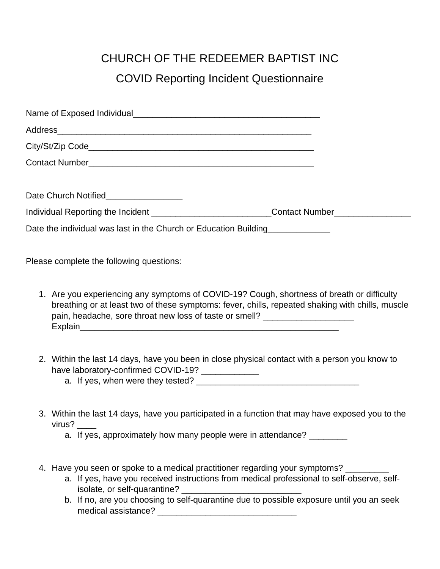## CHURCH OF THE REDEEMER BAPTIST INC COVID Reporting Incident Questionnaire

| Date Church Notified_________________                                                               |  |
|-----------------------------------------------------------------------------------------------------|--|
| Individual Reporting the Incident __________________________Contact Number_________________________ |  |
| Date the individual was last in the Church or Education Building                                    |  |
|                                                                                                     |  |
|                                                                                                     |  |

Please complete the following questions:

- 1. Are you experiencing any symptoms of COVID-19? Cough, shortness of breath or difficulty breathing or at least two of these symptoms: fever, chills, repeated shaking with chills, muscle pain, headache, sore throat new loss of taste or smell? Explain\_\_\_\_\_\_\_\_\_\_\_\_\_\_\_\_\_\_\_\_\_\_\_\_\_\_\_\_\_\_\_\_\_\_\_\_\_\_\_\_\_\_\_\_\_\_\_\_\_\_\_\_\_\_
- 2. Within the last 14 days, have you been in close physical contact with a person you know to have laboratory-confirmed COVID-19? \_\_\_\_\_\_\_\_\_\_\_\_
	- a. If yes, when were they tested? \_\_\_\_\_\_\_\_\_\_\_\_\_\_\_\_\_\_\_\_\_\_\_\_\_\_\_\_\_\_\_\_\_\_
- 3. Within the last 14 days, have you participated in a function that may have exposed you to the virus? \_\_\_\_
	- a. If yes, approximately how many people were in attendance?
- 4. Have you seen or spoke to a medical practitioner regarding your symptoms? \_\_\_\_\_\_\_\_
	- a. If yes, have you received instructions from medical professional to self-observe, selfisolate, or self-quarantine?
	- b. If no, are you choosing to self-quarantine due to possible exposure until you an seek medical assistance? \_\_\_\_\_\_\_\_\_\_\_\_\_\_\_\_\_\_\_\_\_\_\_\_\_\_\_\_\_